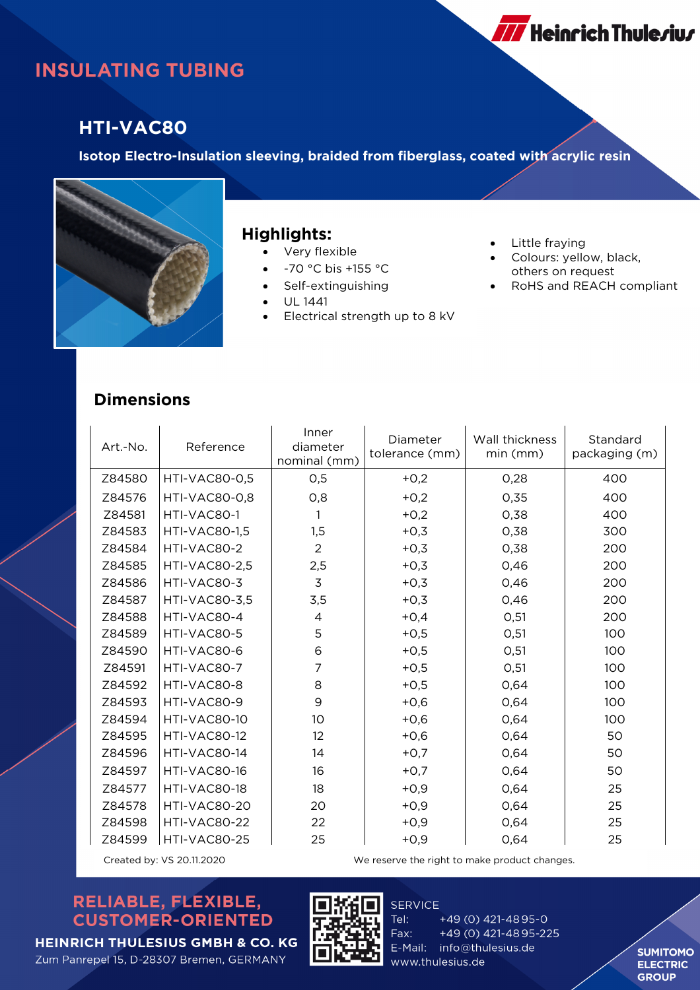# **INSULATING TUBING**

## **HTI-VAC80**

**Isotop Electro-Insulation sleeving, braided from fiberglass, coated with acrylic resin**



#### **Highlights:**

- Very flexible
- -70 °C bis +155 °C
- Self-extinguishing
- UL 1441
- Electrical strength up to 8 kV
- Little fraying
- Colours: yellow, black, others on request
- RoHS and REACH compliant

**777** Heinrich Thule*r*iu*r* 

#### **Dimensions**

| Art.-No. | Reference            | Inner<br>diameter<br>nominal (mm) | Diameter<br>tolerance (mm) | Wall thickness<br>min (mm) | Standard<br>packaging (m) |
|----------|----------------------|-----------------------------------|----------------------------|----------------------------|---------------------------|
| Z84580   | <b>HTI-VAC80-0,5</b> | O,5                               | $+0,2$                     | 0,28                       | 400                       |
| Z84576   | <b>HTI-VAC80-0.8</b> | O, 8                              | $+0,2$                     | 0,35                       | 400                       |
| Z84581   | HTI-VAC80-1          | 1                                 | $+0,2$                     | 0,38                       | 400                       |
| Z84583   | <b>HTI-VAC80-1,5</b> | 1,5                               | $+0,3$                     | 0,38                       | 300                       |
| Z84584   | HTI-VAC80-2          | $\overline{2}$                    | $+0,3$                     | 0,38                       | 200                       |
| Z84585   | <b>HTI-VAC80-2,5</b> | 2,5                               | $+0,3$                     | 0,46                       | 200                       |
| Z84586   | HTI-VAC80-3          | 3                                 | $+0,3$                     | 0,46                       | 200                       |
| Z84587   | <b>HTI-VAC80-3,5</b> | 3,5                               | $+0,3$                     | 0,46                       | 200                       |
| Z84588   | HTI-VAC80-4          | 4                                 | $+0,4$                     | O, 51                      | 200                       |
| Z84589   | HTI-VAC80-5          | 5                                 | $+0,5$                     | O, 51                      | 100                       |
| Z84590   | HTI-VAC80-6          | 6                                 | $+0,5$                     | O, 51                      | 100                       |
| Z84591   | HTI-VAC80-7          | 7                                 | $+0,5$                     | O, 51                      | 100                       |
| Z84592   | HTI-VAC80-8          | 8                                 | $+0,5$                     | 0,64                       | 100                       |
| Z84593   | HTI-VAC80-9          | 9                                 | $+0,6$                     | 0,64                       | 100                       |
| Z84594   | HTI-VAC80-10         | 10 <sup>°</sup>                   | $+0,6$                     | 0,64                       | 100                       |
| Z84595   | HTI-VAC80-12         | 12                                | $+0,6$                     | 0,64                       | 50                        |
| Z84596   | HTI-VAC80-14         | 14                                | $+0,7$                     | 0,64                       | 50                        |
| Z84597   | HTI-VAC80-16         | 16                                | $+0,7$                     | 0,64                       | 50                        |
| Z84577   | HTI-VAC80-18         | 18                                | $+0,9$                     | 0,64                       | 25                        |
| Z84578   | HTI-VAC80-20         | 20                                | $+0,9$                     | 0,64                       | 25                        |
| Z84598   | HTI-VAC80-22         | 22                                | $+0,9$                     | 0,64                       | 25                        |
| Z84599   | HTI-VAC80-25         | 25                                | $+0,9$                     | 0,64                       | 25                        |

Created by: VS 20.11.2020 We reserve the right to make product changes.

### RELIABLE, FLEXIBLE, **CUSTOMER-ORIENTED**



**SERVICE** Tel: +49 (0) 421-4895-0 Fax: +49 (0) 421-4895-225 E-Mail: info@thulesius.de www.thulesius.de

**SUMITOMO ELECTRIC GROUP** 

Zum Panrepel 15, D-28307 Bremen, GERMANY